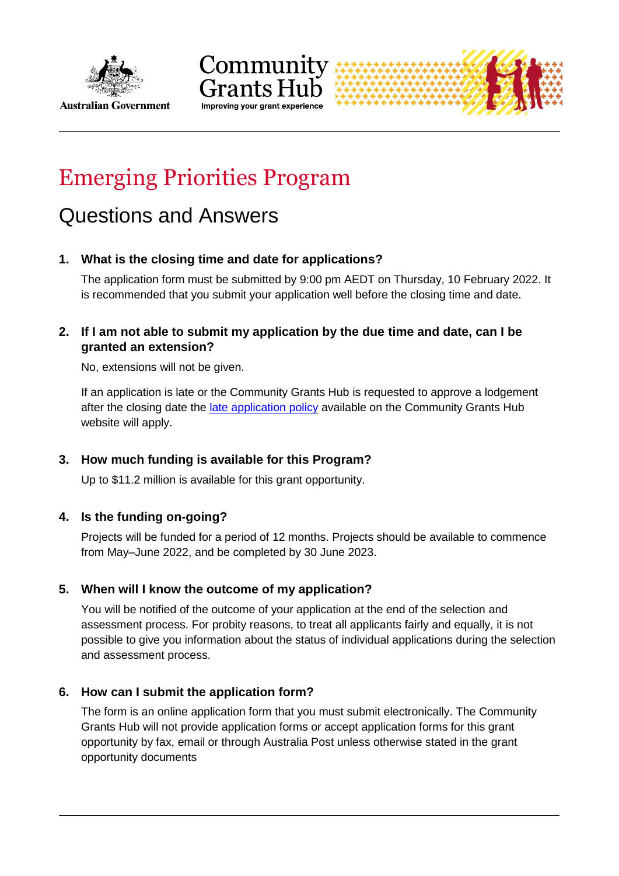



# Emerging Priorities Program

# Questions and Answers

# **1. What is the closing time and date for applications?**

The application form must be submitted by 9:00 pm AEDT on Thursday, 10 February 2022. It is recommended that you submit your application well before the closing time and date.

# **2. If I am not able to submit my application by the due time and date, can I be granted an extension?**

No, extensions will not be given.

If an application is late or the Community Grants Hub is requested to approve a lodgement after the closing date the [late application policy](http://communitygrants.gov.au/information-applicants/late-applications-policy) available on the Community Grants Hub website will apply.

# **3. How much funding is available for this Program?**

Up to \$11.2 million is available for this grant opportunity.

# **4. Is the funding on-going?**

Projects will be funded for a period of 12 months. Projects should be available to commence from May–June 2022, and be completed by 30 June 2023.

# **5. When will I know the outcome of my application?**

You will be notified of the outcome of your application at the end of the selection and assessment process. For probity reasons, to treat all applicants fairly and equally, it is not possible to give you information about the status of individual applications during the selection and assessment process.

# **6. How can I submit the application form?**

The form is an online application form that you must submit electronically. The Community Grants Hub will not provide application forms or accept application forms for this grant opportunity by fax, email or through Australia Post unless otherwise stated in the grant opportunity documents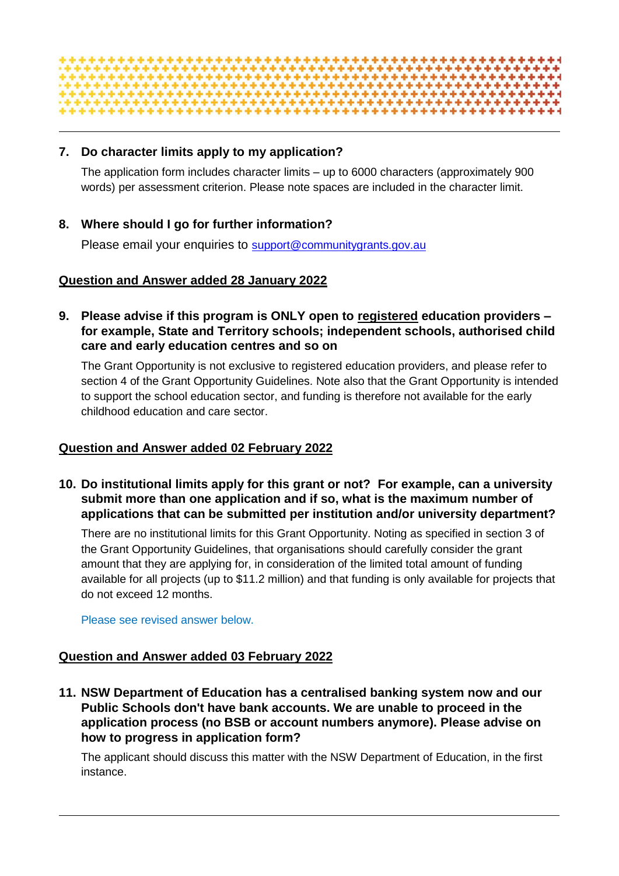

# **7. Do character limits apply to my application?**

The application form includes character limits – up to 6000 characters (approximately 900 words) per assessment criterion. Please note spaces are included in the character limit.

# **8. Where should I go for further information?**

Please email your enquiries to [support@communitygrants.gov.au](mailto:support@communitygrants.gov.au)

#### **Question and Answer added 28 January 2022**

**9. Please advise if this program is ONLY open to registered education providers – for example, State and Territory schools; independent schools, authorised child care and early education centres and so on**

The Grant Opportunity is not exclusive to registered education providers, and please refer to section 4 of the Grant Opportunity Guidelines. Note also that the Grant Opportunity is intended to support the school education sector, and funding is therefore not available for the early childhood education and care sector.

#### **Question and Answer added 02 February 2022**

**10. Do institutional limits apply for this grant or not? For example, can a university submit more than one application and if so, what is the maximum number of applications that can be submitted per institution and/or university department?**

There are no institutional limits for this Grant Opportunity. Noting as specified in section 3 of the Grant Opportunity Guidelines, that organisations should carefully consider the grant amount that they are applying for, in consideration of the limited total amount of funding available for all projects (up to \$11.2 million) and that funding is only available for projects that do not exceed 12 months.

Please see revised answer below.

# **Question and Answer added 03 February 2022**

**11. NSW Department of Education has a centralised banking system now and our Public Schools don't have bank accounts. We are unable to proceed in the application process (no BSB or account numbers anymore). Please advise on how to progress in application form?**

The applicant should discuss this matter with the NSW Department of Education, in the first instance.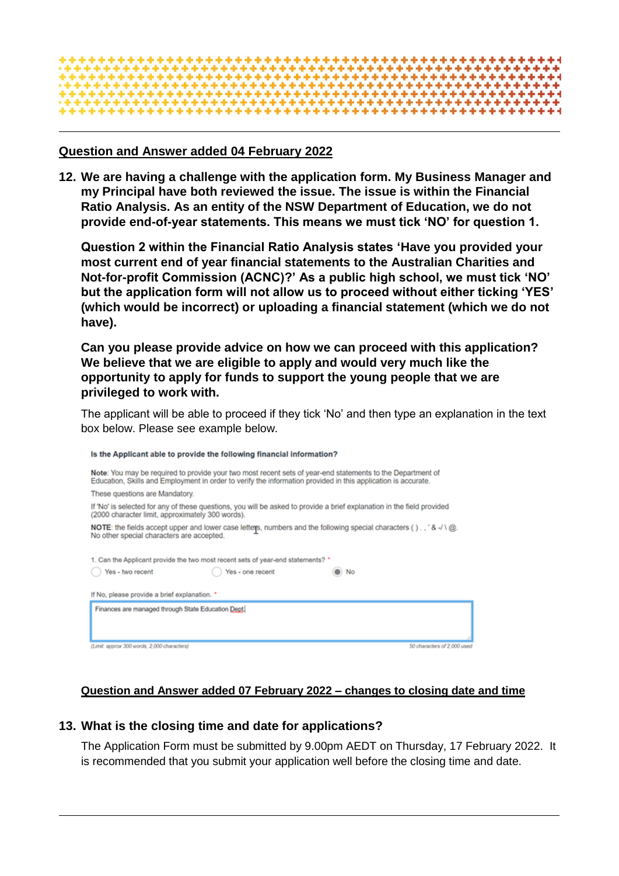

#### **Question and Answer added 04 February 2022**

**12. We are having a challenge with the application form. My Business Manager and my Principal have both reviewed the issue. The issue is within the Financial Ratio Analysis. As an entity of the NSW Department of Education, we do not provide end-of-year statements. This means we must tick 'NO' for question 1.**

**Question 2 within the Financial Ratio Analysis states 'Have you provided your most current end of year financial statements to the Australian Charities and Not-for-profit Commission (ACNC)?' As a public high school, we must tick 'NO' but the application form will not allow us to proceed without either ticking 'YES' (which would be incorrect) or uploading a financial statement (which we do not have).** 

**Can you please provide advice on how we can proceed with this application? We believe that we are eligible to apply and would very much like the opportunity to apply for funds to support the young people that we are privileged to work with.** 

The applicant will be able to proceed if they tick 'No' and then type an explanation in the text box below. Please see example below.

| Is the Applicant able to provide the following financial information?                                                                                                                                                       |
|-----------------------------------------------------------------------------------------------------------------------------------------------------------------------------------------------------------------------------|
| Note: You may be required to provide your two most recent sets of year-end statements to the Department of<br>Education, Skills and Employment in order to verify the information provided in this application is accurate. |
| These questions are Mandatory.                                                                                                                                                                                              |
| If 'No' is selected for any of these questions, you will be asked to provide a brief explanation in the field provided<br>(2000 character limit, approximately 300 words).                                                  |
| NOTE: the fields accept upper and lower case letters, numbers and the following special characters (), '&-/ \ @.<br>No other special characters are accepted.                                                               |
| 1. Can the Applicant provide the two most recent sets of year-end statements? *                                                                                                                                             |
| Yes - two recent<br>Yes - one recent<br>No                                                                                                                                                                                  |
| If No, please provide a brief explanation. *                                                                                                                                                                                |
| Finances are managed through State Education Dept.                                                                                                                                                                          |
| (Limit: approx 300 words, 2,000 characters)<br>50 characters of 2,000 used                                                                                                                                                  |

# **Question and Answer added 07 February 2022 – changes to closing date and time**

#### **13. What is the closing time and date for applications?**

The Application Form must be submitted by 9.00pm AEDT on Thursday, 17 February 2022. It is recommended that you submit your application well before the closing time and date.